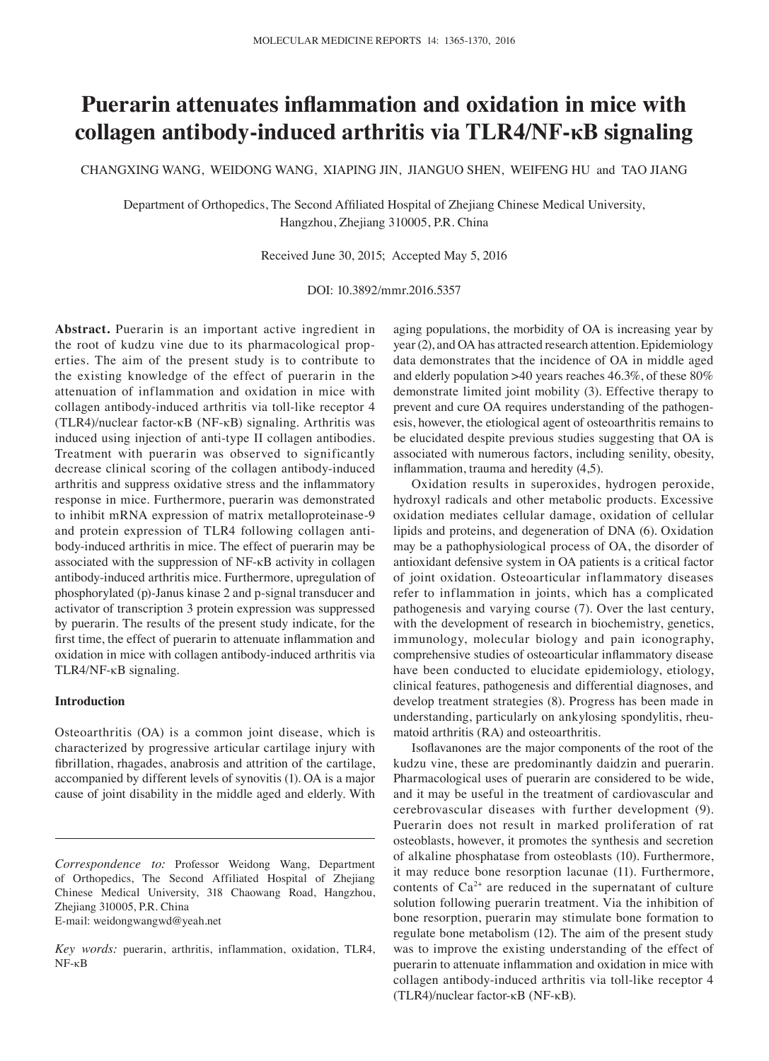# **Puerarin attenuates inflammation and oxidation in mice with collagen antibody-induced arthritis via TLR4/NF-κB signaling**

CHANGXING WANG, WEIDONG WANG, XIAPING JIN, JIANGUO SHEN, WEIFENG HU and TAO JIANG

Department of Orthopedics, The Second Affiliated Hospital of Zhejiang Chinese Medical University, Hangzhou, Zhejiang 310005, P.R. China

Received June 30, 2015; Accepted May 5, 2016

DOI: 10.3892/mmr.2016.5357

**Abstract.** Puerarin is an important active ingredient in the root of kudzu vine due to its pharmacological properties. The aim of the present study is to contribute to the existing knowledge of the effect of puerarin in the attenuation of inflammation and oxidation in mice with collagen antibody-induced arthritis via toll-like receptor 4 (TLR4)/nuclear factor-κB (NF-κB) signaling. Arthritis was induced using injection of anti-type II collagen antibodies. Treatment with puerarin was observed to significantly decrease clinical scoring of the collagen antibody-induced arthritis and suppress oxidative stress and the inflammatory response in mice. Furthermore, puerarin was demonstrated to inhibit mRNA expression of matrix metalloproteinase-9 and protein expression of TLR4 following collagen antibody-induced arthritis in mice. The effect of puerarin may be associated with the suppression of NF-κB activity in collagen antibody-induced arthritis mice. Furthermore, upregulation of phosphorylated (p)-Janus kinase 2 and p-signal transducer and activator of transcription 3 protein expression was suppressed by puerarin. The results of the present study indicate, for the first time, the effect of puerarin to attenuate inflammation and oxidation in mice with collagen antibody-induced arthritis via TLR4/NF-κB signaling.

## **Introduction**

Osteoarthritis (OA) is a common joint disease, which is characterized by progressive articular cartilage injury with fibrillation, rhagades, anabrosis and attrition of the cartilage, accompanied by different levels of synovitis (1). OA is a major cause of joint disability in the middle aged and elderly. With

E-mail: weidongwangwd@yeah.net

aging populations, the morbidity of OA is increasing year by year (2), and OA has attracted research attention. Epidemiology data demonstrates that the incidence of OA in middle aged and elderly population >40 years reaches 46.3%, of these 80% demonstrate limited joint mobility (3). Effective therapy to prevent and cure OA requires understanding of the pathogenesis, however, the etiological agent of osteoarthritis remains to be elucidated despite previous studies suggesting that OA is associated with numerous factors, including senility, obesity, inflammation, trauma and heredity (4,5).

Oxidation results in superoxides, hydrogen peroxide, hydroxyl radicals and other metabolic products. Excessive oxidation mediates cellular damage, oxidation of cellular lipids and proteins, and degeneration of DNA (6). Oxidation may be a pathophysiological process of OA, the disorder of antioxidant defensive system in OA patients is a critical factor of joint oxidation. Osteoarticular inflammatory diseases refer to inflammation in joints, which has a complicated pathogenesis and varying course (7). Over the last century, with the development of research in biochemistry, genetics, immunology, molecular biology and pain iconography, comprehensive studies of osteoarticular inflammatory disease have been conducted to elucidate epidemiology, etiology, clinical features, pathogenesis and differential diagnoses, and develop treatment strategies (8). Progress has been made in understanding, particularly on ankylosing spondylitis, rheumatoid arthritis (RA) and osteoarthritis.

Isoflavanones are the major components of the root of the kudzu vine, these are predominantly daidzin and puerarin. Pharmacological uses of puerarin are considered to be wide, and it may be useful in the treatment of cardiovascular and cerebrovascular diseases with further development (9). Puerarin does not result in marked proliferation of rat osteoblasts, however, it promotes the synthesis and secretion of alkaline phosphatase from osteoblasts (10). Furthermore, it may reduce bone resorption lacunae (11). Furthermore, contents of  $Ca^{2+}$  are reduced in the supernatant of culture solution following puerarin treatment. Via the inhibition of bone resorption, puerarin may stimulate bone formation to regulate bone metabolism (12). The aim of the present study was to improve the existing understanding of the effect of puerarin to attenuate inflammation and oxidation in mice with collagen antibody-induced arthritis via toll-like receptor 4 (TLR4)/nuclear factor-κB (NF-κB).

*Correspondence to:* Professor Weidong Wang, Department of Orthopedics, The Second Affiliated Hospital of Zhejiang Chinese Medical University, 318 Chaowang Road, Hangzhou, Zhejiang 310005, P.R. China

*Key words:* puerarin, arthritis, inflammation, oxidation, TLR4, NF-κB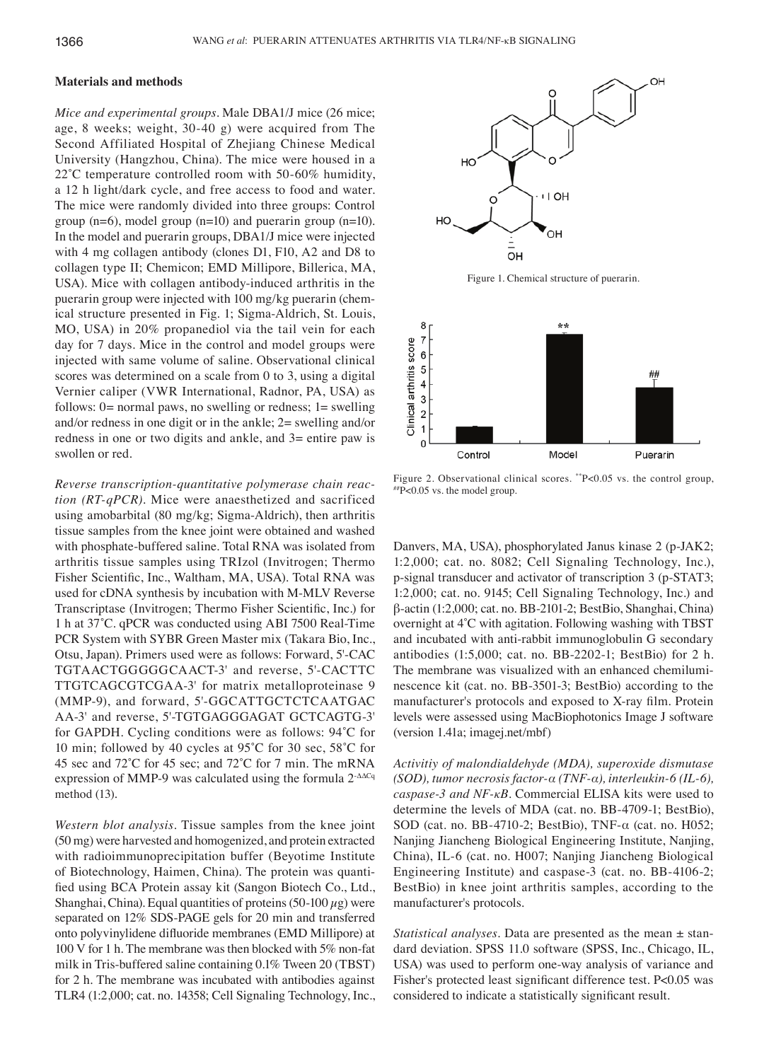# **Materials and methods**

*Mice and experimental groups.* Male DBA1/J mice (26 mice; age, 8 weeks; weight, 30-40 g) were acquired from The Second Affiliated Hospital of Zhejiang Chinese Medical University (Hangzhou, China). The mice were housed in a 22°C temperature controlled room with 50-60% humidity, a 12 h light/dark cycle, and free access to food and water. The mice were randomly divided into three groups: Control group  $(n=6)$ , model group  $(n=10)$  and puerarin group  $(n=10)$ . In the model and puerarin groups, DBA1/J mice were injected with 4 mg collagen antibody (clones D1, F10, A2 and D8 to collagen type II; Chemicon; EMD Millipore, Billerica, MA, USA). Mice with collagen antibody-induced arthritis in the puerarin group were injected with 100 mg/kg puerarin (chemical structure presented in Fig. 1; Sigma-Aldrich, St. Louis, MO, USA) in 20% propanediol via the tail vein for each day for 7 days. Mice in the control and model groups were injected with same volume of saline. Observational clinical scores was determined on a scale from 0 to 3, using a digital Vernier caliper (VWR International, Radnor, PA, USA) as follows:  $0$  = normal paws, no swelling or redness;  $1$  = swelling and/or redness in one digit or in the ankle; 2= swelling and/or redness in one or two digits and ankle, and 3= entire paw is swollen or red.

*Reverse transcription‑quantitative polymerase chain reac‑ tion (RT‑qPCR).* Mice were anaesthetized and sacrificed using amobarbital (80 mg/kg; Sigma-Aldrich), then arthritis tissue samples from the knee joint were obtained and washed with phosphate-buffered saline. Total RNA was isolated from arthritis tissue samples using TRIzol (Invitrogen; Thermo Fisher Scientific, Inc., Waltham, MA, USA). Total RNA was used for cDNA synthesis by incubation with M-MLV Reverse Transcriptase (Invitrogen; Thermo Fisher Scientific, Inc.) for 1 h at 37˚C. qPCR was conducted using ABI 7500 Real-Time PCR System with SYBR Green Master mix (Takara Bio, Inc., Otsu, Japan). Primers used were as follows: Forward, 5'-CAC TGTAACTGGGGGCAACT-3' and reverse, 5'-CACTTC TTGTCAGCGTCGAA-3' for matrix metalloproteinase 9 (MMP-9), and forward, 5'-GGCATTGCTCTCAATGAC AA-3' and reverse, 5'-TGTGAGGGAGAT GCTCAGTG-3' for GAPDH. Cycling conditions were as follows: 94˚C for 10 min; followed by 40 cycles at 95˚C for 30 sec, 58˚C for 45 sec and 72˚C for 45 sec; and 72˚C for 7 min. The mRNA expression of MMP-9 was calculated using the formula 2<sup>-∆∆Cq</sup> method (13).

*Western blot analysis.* Tissue samples from the knee joint (50 mg) were harvested and homogenized, and protein extracted with radioimmunoprecipitation buffer (Beyotime Institute of Biotechnology, Haimen, China). The protein was quantified using BCA Protein assay kit (Sangon Biotech Co., Ltd., Shanghai, China). Equal quantities of proteins (50-100  $\mu$ g) were separated on 12% SDS-PAGE gels for 20 min and transferred onto polyvinylidene difluoride membranes (EMD Millipore) at 100 V for 1 h. The membrane was then blocked with 5% non-fat milk in Tris-buffered saline containing 0.1% Tween 20 (TBST) for 2 h. The membrane was incubated with antibodies against TLR4 (1:2,000; cat. no. 14358; Cell Signaling Technology, Inc.,



Figure 1. Chemical structure of puerarin.



Figure 2. Observational clinical scores. \*\*P<0.05 vs. the control group, ##P<0.05 vs. the model group.

Danvers, MA, USA), phosphorylated Janus kinase 2 (p-JAK2; 1:2,000; cat. no. 8082; Cell Signaling Technology, Inc.), p-signal transducer and activator of transcription 3 (p-STAT3; 1:2,000; cat. no. 9145; Cell Signaling Technology, Inc.) and β-actin (1:2,000; cat. no. BB-2101-2; BestBio, Shanghai, China) overnight at 4˚C with agitation. Following washing with TBST and incubated with anti-rabbit immunoglobulin G secondary antibodies (1:5,000; cat. no. BB-2202-1; BestBio) for 2 h. The membrane was visualized with an enhanced chemiluminescence kit (cat. no. BB-3501-3; BestBio) according to the manufacturer's protocols and exposed to X‑ray film. Protein levels were assessed using MacBiophotonics Image J software (version 1.41a; imagej.net/mbf)

*Activitiy of malondialdehyde (MDA), superoxide dismutase (SOD), tumor necrosis factor‑α (TNF‑α), interleukin‑6 (IL‑6), caspase‑3 and NF‑κB.* Commercial ELISA kits were used to determine the levels of MDA (cat. no. BB-4709-1; BestBio), SOD (cat. no. BB-4710-2; BestBio), TNF-α (cat. no. H052; Nanjing Jiancheng Biological Engineering Institute, Nanjing, China), IL-6 (cat. no. H007; Nanjing Jiancheng Biological Engineering Institute) and caspase-3 (cat. no. BB-4106-2; BestBio) in knee joint arthritis samples, according to the manufacturer's protocols.

*Statistical analyses.* Data are presented as the mean ± standard deviation. SPSS 11.0 software (SPSS, Inc., Chicago, IL, USA) was used to perform one-way analysis of variance and Fisher's protected least significant difference test. P<0.05 was considered to indicate a statistically significant result.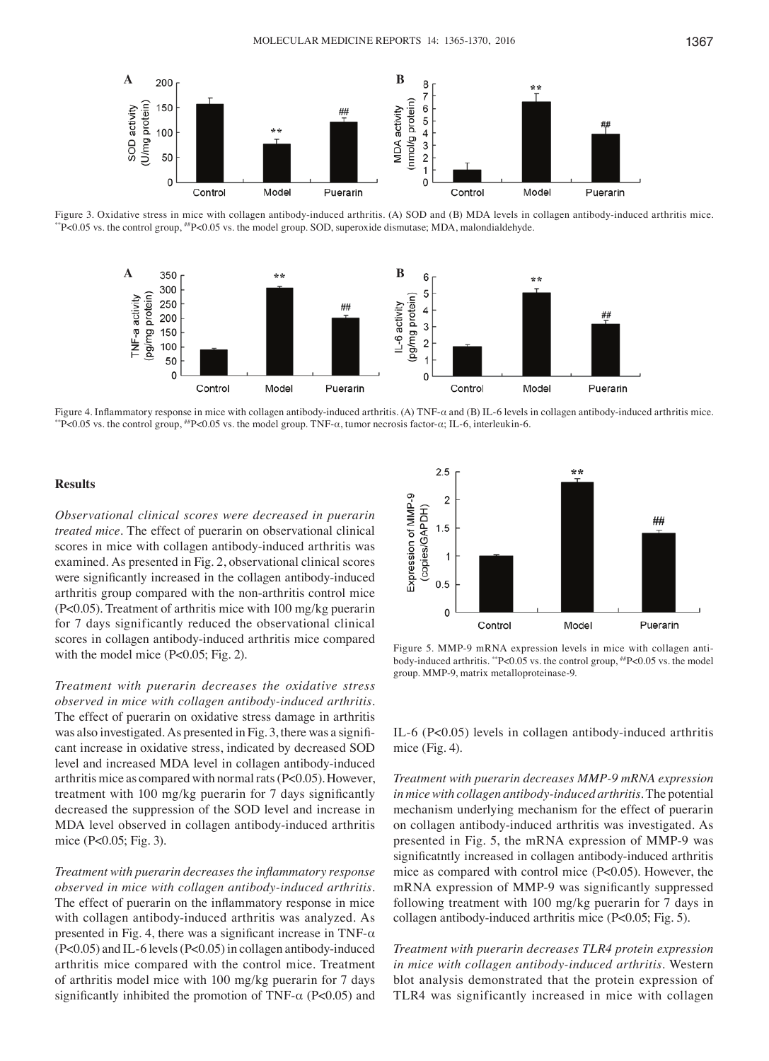

Figure 3. Oxidative stress in mice with collagen antibody-induced arthritis. (A) SOD and (B) MDA levels in collagen antibody-induced arthritis mice.<br>"P<0.05 vs. the control group,  $N$ P<0.05 vs. the model group. SOD, supero



Figure 4. Inflammatory response in mice with collagen antibody-induced arthritis. (A) TNF- $\alpha$  and (B) IL-6 levels in collagen antibody-induced arthritis mice.<br>\*\*P<0.05 vs. the control group, \*\*P<0.05 vs. the model group.

# **Results**

*Observational clinical scores were decreased in puerarin treated mice.* The effect of puerarin on observational clinical scores in mice with collagen antibody-induced arthritis was examined. As presented in Fig. 2, observational clinical scores were significantly increased in the collagen antibody-induced arthritis group compared with the non-arthritis control mice (P<0.05). Treatment of arthritis mice with 100 mg/kg puerarin for 7 days significantly reduced the observational clinical scores in collagen antibody-induced arthritis mice compared with the model mice (P<0.05; Fig. 2).

*Treatment with puerarin decreases the oxidative stress observed in mice with collagen antibody‑induced arthritis.*  The effect of puerarin on oxidative stress damage in arthritis was also investigated. As presented in Fig. 3, there was a significant increase in oxidative stress, indicated by decreased SOD level and increased MDA level in collagen antibody-induced arthritis mice as compared with normal rats (P<0.05). However, treatment with 100 mg/kg puerarin for 7 days significantly decreased the suppression of the SOD level and increase in MDA level observed in collagen antibody-induced arthritis mice (P<0.05; Fig. 3).

*Treatment with puerarin decreases the inflammatory response observed in mice with collagen antibody‑induced arthritis.*  The effect of puerarin on the inflammatory response in mice with collagen antibody-induced arthritis was analyzed. As presented in Fig. 4, there was a significant increase in TNF- $\alpha$ (P<0.05) and IL‑6 levels (P<0.05) in collagen antibody‑induced arthritis mice compared with the control mice. Treatment of arthritis model mice with 100 mg/kg puerarin for 7 days significantly inhibited the promotion of TNF- $\alpha$  (P<0.05) and



Figure 5. MMP-9 mRNA expression levels in mice with collagen antibody-induced arthritis. \*\*P<0.05 vs. the control group, ##P<0.05 vs. the model group. MMP-9, matrix metalloproteinase-9.

IL‑6 (P<0.05) levels in collagen antibody‑induced arthritis mice (Fig. 4).

*Treatment with puerarin decreases MMP‑9 mRNA expression in mice with collagen antibody‑induced arthritis.* The potential mechanism underlying mechanism for the effect of puerarin on collagen antibody-induced arthritis was investigated. As presented in Fig. 5, the mRNA expression of MMP-9 was significatntly increased in collagen antibody‑induced arthritis mice as compared with control mice (P<0.05). However, the mRNA expression of MMP‑9 was significantly suppressed following treatment with 100 mg/kg puerarin for 7 days in collagen antibody-induced arthritis mice (P<0.05; Fig. 5).

*Treatment with puerarin decreases TLR4 protein expression in mice with collagen antibody‑induced arthritis.* Western blot analysis demonstrated that the protein expression of TLR4 was significantly increased in mice with collagen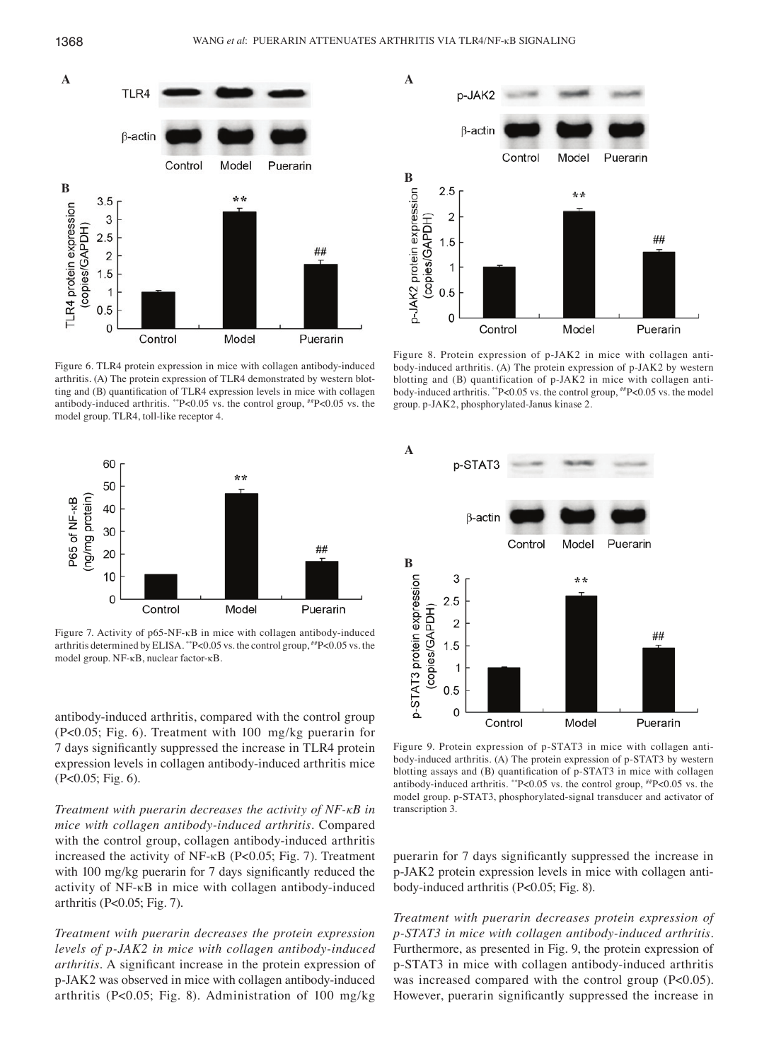

Figure 6. TLR4 protein expression in mice with collagen antibody-induced arthritis. (A) The protein expression of TLR4 demonstrated by western blotting and (B) quantification of TLR4 expression levels in mice with collagen antibody-induced arthritis. \*\*P<0.05 vs. the control group, ##P<0.05 vs. the model group. TLR4, toll-like receptor 4.



Figure 7. Activity of p65-NF-κB in mice with collagen antibody-induced arthritis determined by ELISA. \*\*P<0.05 vs. the control group, ##P<0.05 vs. the model group. NF-κB, nuclear factor-κB.

antibody-induced arthritis, compared with the control group (P<0.05; Fig. 6). Treatment with 100  mg/kg puerarin for 7 days significantly suppressed the increase in TLR4 protein expression levels in collagen antibody-induced arthritis mice (P<0.05; Fig. 6).

*Treatment with puerarin decreases the activity of NF‑κB in mice with collagen antibody‑induced arthritis.* Compared with the control group, collagen antibody-induced arthritis increased the activity of NF-κB (P<0.05; Fig. 7). Treatment with 100 mg/kg puerarin for 7 days significantly reduced the activity of NF-κB in mice with collagen antibody-induced arthritis (P<0.05; Fig. 7).

*Treatment with puerarin decreases the protein expression levels of p‑JAK2 in mice with collagen antibody‑induced arthritis.* A significant increase in the protein expression of p-JAK2 was observed in mice with collagen antibody-induced arthritis (P<0.05; Fig. 8). Administration of 100 mg/kg



Figure 8. Protein expression of p-JAK2 in mice with collagen antibody-induced arthritis. (A) The protein expression of p-JAK2 by western blotting and (B) quantification of p-JAK2 in mice with collagen antibody-induced arthritis. \*\*P<0.05 vs. the control group, ##P<0.05 vs. the model group. p-JAK2, phosphorylated-Janus kinase 2.



Figure 9. Protein expression of p-STAT3 in mice with collagen antibody-induced arthritis. (A) The protein expression of p-STAT3 by western blotting assays and (B) quantification of p‑STAT3 in mice with collagen antibody-induced arthritis. \*\*P<0.05 vs. the control group, ##P<0.05 vs. the model group. p-STAT3, phosphorylated-signal transducer and activator of transcription 3.

puerarin for 7 days significantly suppressed the increase in p-JAK2 protein expression levels in mice with collagen antibody‑induced arthritis (P<0.05; Fig. 8).

*Treatment with puerarin decreases protein expression of p‑STAT3 in mice with collagen antibody‑induced arthritis.*  Furthermore, as presented in Fig. 9, the protein expression of p-STAT3 in mice with collagen antibody-induced arthritis was increased compared with the control group (P<0.05). However, puerarin significantly suppressed the increase in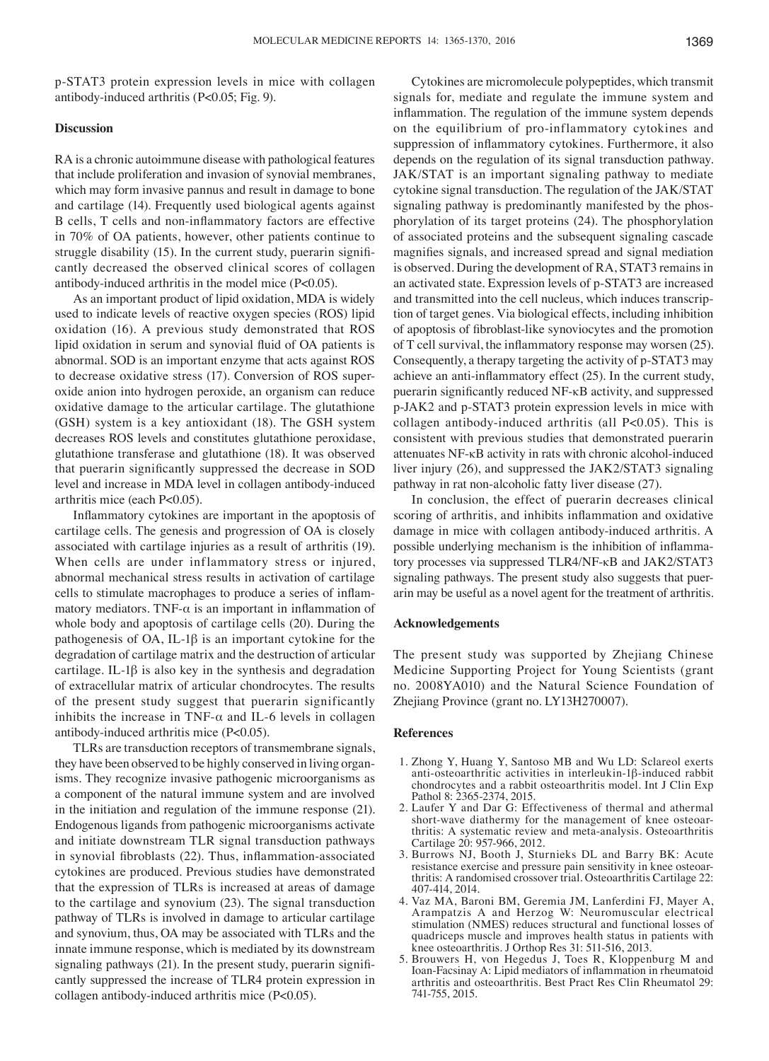p-STAT3 protein expression levels in mice with collagen antibody‑induced arthritis (P<0.05; Fig. 9).

## **Discussion**

RA is a chronic autoimmune disease with pathological features that include proliferation and invasion of synovial membranes, which may form invasive pannus and result in damage to bone and cartilage (14). Frequently used biological agents against B cells, T cells and non‑inflammatory factors are effective in 70% of OA patients, however, other patients continue to struggle disability (15). In the current study, puerarin significantly decreased the observed clinical scores of collagen antibody‑induced arthritis in the model mice (P<0.05).

As an important product of lipid oxidation, MDA is widely used to indicate levels of reactive oxygen species (ROS) lipid oxidation (16). A previous study demonstrated that ROS lipid oxidation in serum and synovial fluid of OA patients is abnormal. SOD is an important enzyme that acts against ROS to decrease oxidative stress (17). Conversion of ROS superoxide anion into hydrogen peroxide, an organism can reduce oxidative damage to the articular cartilage. The glutathione (GSH) system is a key antioxidant (18). The GSH system decreases ROS levels and constitutes glutathione peroxidase, glutathione transferase and glutathione (18). It was observed that puerarin significantly suppressed the decrease in SOD level and increase in MDA level in collagen antibody-induced arthritis mice (each P<0.05).

Inflammatory cytokines are important in the apoptosis of cartilage cells. The genesis and progression of OA is closely associated with cartilage injuries as a result of arthritis (19). When cells are under inflammatory stress or injured, abnormal mechanical stress results in activation of cartilage cells to stimulate macrophages to produce a series of inflammatory mediators. TNF- $\alpha$  is an important in inflammation of whole body and apoptosis of cartilage cells (20). During the pathogenesis of  $OA$ , IL-1 $\beta$  is an important cytokine for the degradation of cartilage matrix and the destruction of articular cartilage. IL-1β is also key in the synthesis and degradation of extracellular matrix of articular chondrocytes. The results of the present study suggest that puerarin significantly inhibits the increase in TNF- $\alpha$  and IL-6 levels in collagen antibody‑induced arthritis mice (P<0.05).

TLRs are transduction receptors of transmembrane signals, they have been observed to be highly conserved in living organisms. They recognize invasive pathogenic microorganisms as a component of the natural immune system and are involved in the initiation and regulation of the immune response (21). Endogenous ligands from pathogenic microorganisms activate and initiate downstream TLR signal transduction pathways in synovial fibroblasts (22). Thus, inflammation-associated cytokines are produced. Previous studies have demonstrated that the expression of TLRs is increased at areas of damage to the cartilage and synovium (23). The signal transduction pathway of TLRs is involved in damage to articular cartilage and synovium, thus, OA may be associated with TLRs and the innate immune response, which is mediated by its downstream signaling pathways (21). In the present study, puerarin significantly suppressed the increase of TLR4 protein expression in collagen antibody‑induced arthritis mice (P<0.05).

Cytokines are micromolecule polypeptides, which transmit signals for, mediate and regulate the immune system and inflammation. The regulation of the immune system depends on the equilibrium of pro-inflammatory cytokines and suppression of inflammatory cytokines. Furthermore, it also depends on the regulation of its signal transduction pathway. JAK/STAT is an important signaling pathway to mediate cytokine signal transduction. The regulation of the JAK/STAT signaling pathway is predominantly manifested by the phosphorylation of its target proteins (24). The phosphorylation of associated proteins and the subsequent signaling cascade magnifies signals, and increased spread and signal mediation is observed. During the development of RA, STAT3 remains in an activated state. Expression levels of p-STAT3 are increased and transmitted into the cell nucleus, which induces transcription of target genes. Via biological effects, including inhibition of apoptosis of fibroblast‑like synoviocytes and the promotion of T cell survival, the inflammatory response may worsen (25). Consequently, a therapy targeting the activity of p-STAT3 may achieve an anti-inflammatory effect (25). In the current study, puerarin significantly reduced NF‑κB activity, and suppressed p-JAK2 and p-STAT3 protein expression levels in mice with collagen antibody‑induced arthritis (all P<0.05). This is consistent with previous studies that demonstrated puerarin attenuates NF-κB activity in rats with chronic alcohol-induced liver injury (26), and suppressed the JAK2/STAT3 signaling pathway in rat non-alcoholic fatty liver disease (27).

In conclusion, the effect of puerarin decreases clinical scoring of arthritis, and inhibits inflammation and oxidative damage in mice with collagen antibody-induced arthritis. A possible underlying mechanism is the inhibition of inflammatory processes via suppressed TLR4/NF-κB and JAK2/STAT3 signaling pathways. The present study also suggests that puerarin may be useful as a novel agent for the treatment of arthritis.

#### **Acknowledgements**

The present study was supported by Zhejiang Chinese Medicine Supporting Project for Young Scientists (grant no. 2008YA010) and the Natural Science Foundation of Zhejiang Province (grant no. LY13H270007).

#### **References**

- 1. Zhong Y, Huang Y, Santoso MB and Wu LD: Sclareol exerts anti-osteoarthritic activities in interleukin-1β-induced rabbit chondrocytes and a rabbit osteoarthritis model. Int J Clin Exp Pathol 8: 2365-2374, 2015.
- 2. Laufer Y and Dar G: Effectiveness of thermal and athermal short-wave diathermy for the management of knee osteoarthritis: A systematic review and meta-analysis. Osteoarthritis Cartilage 20: 957-966, 2012.
- 3. Burrows NJ, Booth J, Sturnieks DL and Barry BK: Acute resistance exercise and pressure pain sensitivity in knee osteoarthritis: A randomised crossover trial. Osteoarthritis Cartilage 22: 407-414, 2014.
- 4. Vaz MA, Baroni BM, Geremia JM, Lanferdini FJ, Mayer A, Arampatzis A and Herzog W: Neuromuscular electrical stimulation (NMES) reduces structural and functional losses of quadriceps muscle and improves health status in patients with knee osteoarthritis. J Orthop Res 31: 511-516, 2013.
- 5. Brouwers H, von Hegedus J, Toes R, Kloppenburg M and Ioan‑Facsinay A: Lipid mediators of inflammation in rheumatoid arthritis and osteoarthritis. Best Pract Res Clin Rheumatol 29: 741-755, 2015.